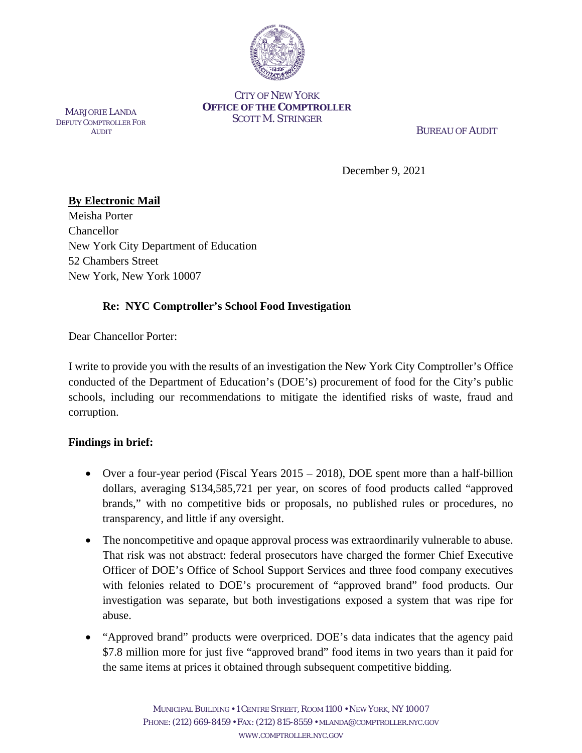

#### CITY OF NEW YORK **OFFICE OF THE COMPTROLLER** SCOTT M. STRINGER

MARJORIE LANDA DEPUTY COMPTROLLER FOR **AUDIT** 

BUREAU OF AUDIT

December 9, 2021

# **By Electronic Mail**

Meisha Porter Chancellor New York City Department of Education 52 Chambers Street New York, New York 10007

# **Re: NYC Comptroller's School Food Investigation**

Dear Chancellor Porter:

I write to provide you with the results of an investigation the New York City Comptroller's Office conducted of the Department of Education's (DOE's) procurement of food for the City's public schools, including our recommendations to mitigate the identified risks of waste, fraud and corruption.

## **Findings in brief:**

- Over a four-year period (Fiscal Years 2015 2018), DOE spent more than a half-billion dollars, averaging \$134,585,721 per year, on scores of food products called "approved brands," with no competitive bids or proposals, no published rules or procedures, no transparency, and little if any oversight.
- The noncompetitive and opaque approval process was extraordinarily vulnerable to abuse. That risk was not abstract: federal prosecutors have charged the former Chief Executive Officer of DOE's Office of School Support Services and three food company executives with felonies related to DOE's procurement of "approved brand" food products. Our investigation was separate, but both investigations exposed a system that was ripe for abuse.
- "Approved brand" products were overpriced. DOE's data indicates that the agency paid \$7.8 million more for just five "approved brand" food items in two years than it paid for the same items at prices it obtained through subsequent competitive bidding.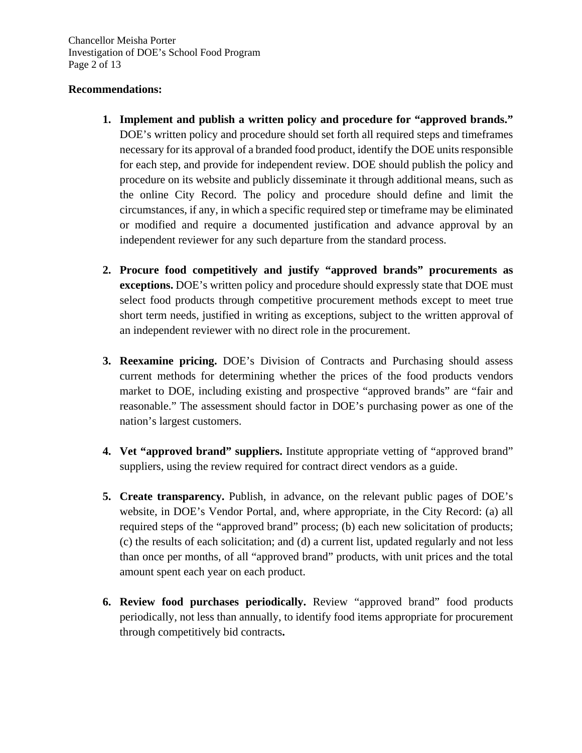Chancellor Meisha Porter Investigation of DOE's School Food Program Page 2 of 13

#### **Recommendations:**

- **1. Implement and publish a written policy and procedure for "approved brands."**  DOE's written policy and procedure should set forth all required steps and timeframes necessary for its approval of a branded food product, identify the DOE units responsible for each step, and provide for independent review. DOE should publish the policy and procedure on its website and publicly disseminate it through additional means, such as the online City Record. The policy and procedure should define and limit the circumstances, if any, in which a specific required step or timeframe may be eliminated or modified and require a documented justification and advance approval by an independent reviewer for any such departure from the standard process.
- **2. Procure food competitively and justify "approved brands" procurements as exceptions.** DOE's written policy and procedure should expressly state that DOE must select food products through competitive procurement methods except to meet true short term needs, justified in writing as exceptions, subject to the written approval of an independent reviewer with no direct role in the procurement.
- **3. Reexamine pricing.** DOE's Division of Contracts and Purchasing should assess current methods for determining whether the prices of the food products vendors market to DOE, including existing and prospective "approved brands" are "fair and reasonable." The assessment should factor in DOE's purchasing power as one of the nation's largest customers.
- **4. Vet "approved brand" suppliers.** Institute appropriate vetting of "approved brand" suppliers, using the review required for contract direct vendors as a guide.
- **5. Create transparency.** Publish, in advance, on the relevant public pages of DOE's website, in DOE's Vendor Portal, and, where appropriate, in the City Record: (a) all required steps of the "approved brand" process; (b) each new solicitation of products; (c) the results of each solicitation; and (d) a current list, updated regularly and not less than once per months, of all "approved brand" products, with unit prices and the total amount spent each year on each product.
- **6. Review food purchases periodically.** Review "approved brand" food products periodically, not less than annually, to identify food items appropriate for procurement through competitively bid contracts**.**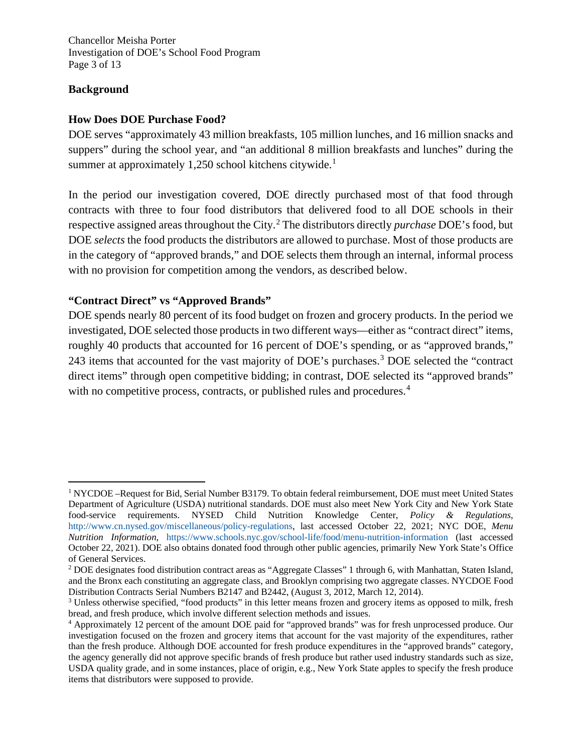Chancellor Meisha Porter Investigation of DOE's School Food Program Page 3 of 13

#### **Background**

#### **How Does DOE Purchase Food?**

DOE serves "approximately 43 million breakfasts, 105 million lunches, and 16 million snacks and suppers" during the school year, and "an additional 8 million breakfasts and lunches" during the summer at approximately [1](#page-2-0),250 school kitchens citywide.<sup>1</sup>

In the period our investigation covered, DOE directly purchased most of that food through contracts with three to four food distributors that delivered food to all DOE schools in their respective assigned areas throughout the City.[2](#page-2-1) The distributors directly *purchase* DOE's food, but DOE *selects* the food products the distributors are allowed to purchase. Most of those products are in the category of "approved brands," and DOE selects them through an internal, informal process with no provision for competition among the vendors, as described below.

## **"Contract Direct" vs "Approved Brands"**

DOE spends nearly 80 percent of its food budget on frozen and grocery products. In the period we investigated, DOE selected those products in two different ways—either as "contract direct" items, roughly 40 products that accounted for 16 percent of DOE's spending, or as "approved brands," 24[3](#page-2-2) items that accounted for the vast majority of DOE's purchases.<sup>3</sup> DOE selected the "contract" direct items" through open competitive bidding; in contrast, DOE selected its "approved brands" with no competitive process, contracts, or published rules and procedures.<sup>[4](#page-2-3)</sup>

<span id="page-2-0"></span>ī <sup>1</sup> NYCDOE –Request for Bid, Serial Number B3179. To obtain federal reimbursement, DOE must meet United States Department of Agriculture (USDA) nutritional standards. DOE must also meet New York City and New York State food-service requirements. NYSED Child Nutrition Knowledge Center, *Policy & Regulations*, [http://www.cn.nysed.gov/miscellaneous/policy-regulations,](http://www.cn.nysed.gov/miscellaneous/policy-regulations) last accessed October 22, 2021; NYC DOE, *Menu Nutrition Information*, <https://www.schools.nyc.gov/school-life/food/menu-nutrition-information> (last accessed October 22, 2021). DOE also obtains donated food through other public agencies, primarily New York State's Office of General Services.

<span id="page-2-1"></span><sup>2</sup> DOE designates food distribution contract areas as "Aggregate Classes" 1 through 6, with Manhattan, Staten Island, and the Bronx each constituting an aggregate class, and Brooklyn comprising two aggregate classes. NYCDOE Food<br>Distribution Contracts Serial Numbers B2147 and B2442, (August 3, 2012, March 12, 2014).

<span id="page-2-2"></span><sup>&</sup>lt;sup>3</sup> Unless otherwise specified, "food products" in this letter means frozen and grocery items as opposed to milk, fresh bread, and fresh produce, which involve different selection methods and issues.

<span id="page-2-3"></span><sup>4</sup> Approximately 12 percent of the amount DOE paid for "approved brands" was for fresh unprocessed produce. Our investigation focused on the frozen and grocery items that account for the vast majority of the expenditures, rather than the fresh produce. Although DOE accounted for fresh produce expenditures in the "approved brands" category, the agency generally did not approve specific brands of fresh produce but rather used industry standards such as size, USDA quality grade, and in some instances, place of origin, e.g., New York State apples to specify the fresh produce items that distributors were supposed to provide.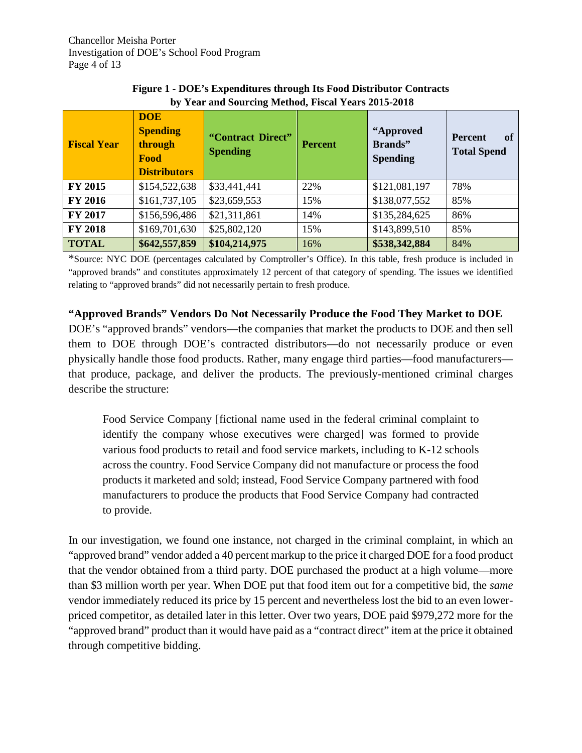| <b>Fiscal Year</b> | <b>DOE</b><br><b>Spending</b><br>through<br>Food<br><b>Distributors</b> | "Contract Direct"<br><b>Spending</b> | <b>Percent</b> | "Approved<br>Brands"<br><b>Spending</b> | of<br><b>Percent</b><br><b>Total Spend</b> |
|--------------------|-------------------------------------------------------------------------|--------------------------------------|----------------|-----------------------------------------|--------------------------------------------|
| FY 2015            | \$154,522,638                                                           | \$33,441,441                         | 22%            | \$121,081,197                           | 78%                                        |
| <b>FY 2016</b>     | \$161,737,105                                                           | \$23,659,553                         | 15%            | \$138,077,552                           | 85%                                        |
| FY 2017            | \$156,596,486                                                           | \$21,311,861                         | 14%            | \$135,284,625                           | 86%                                        |
| <b>FY 2018</b>     | \$169,701,630                                                           | \$25,802,120                         | 15%            | \$143,899,510                           | 85%                                        |
| <b>TOTAL</b>       | \$642,557,859                                                           | \$104,214,975                        | 16%            | \$538,342,884                           | 84%                                        |

**Figure 1 - DOE's Expenditures through Its Food Distributor Contracts by Year and Sourcing Method, Fiscal Years 2015-2018**

\*Source: NYC DOE (percentages calculated by Comptroller's Office). In this table, fresh produce is included in "approved brands" and constitutes approximately 12 percent of that category of spending. The issues we identified relating to "approved brands" did not necessarily pertain to fresh produce.

**"Approved Brands" Vendors Do Not Necessarily Produce the Food They Market to DOE** DOE's "approved brands" vendors—the companies that market the products to DOE and then sell them to DOE through DOE's contracted distributors—do not necessarily produce or even physically handle those food products. Rather, many engage third parties—food manufacturers that produce, package, and deliver the products. The previously-mentioned criminal charges describe the structure:

Food Service Company [fictional name used in the federal criminal complaint to identify the company whose executives were charged] was formed to provide various food products to retail and food service markets, including to K-12 schools across the country. Food Service Company did not manufacture or process the food products it marketed and sold; instead, Food Service Company partnered with food manufacturers to produce the products that Food Service Company had contracted to provide.

In our investigation, we found one instance, not charged in the criminal complaint, in which an "approved brand" vendor added a 40 percent markup to the price it charged DOE for a food product that the vendor obtained from a third party. DOE purchased the product at a high volume—more than \$3 million worth per year. When DOE put that food item out for a competitive bid, the *same* vendor immediately reduced its price by 15 percent and nevertheless lost the bid to an even lowerpriced competitor, as detailed later in this letter. Over two years, DOE paid \$979,272 more for the "approved brand" product than it would have paid as a "contract direct" item at the price it obtained through competitive bidding.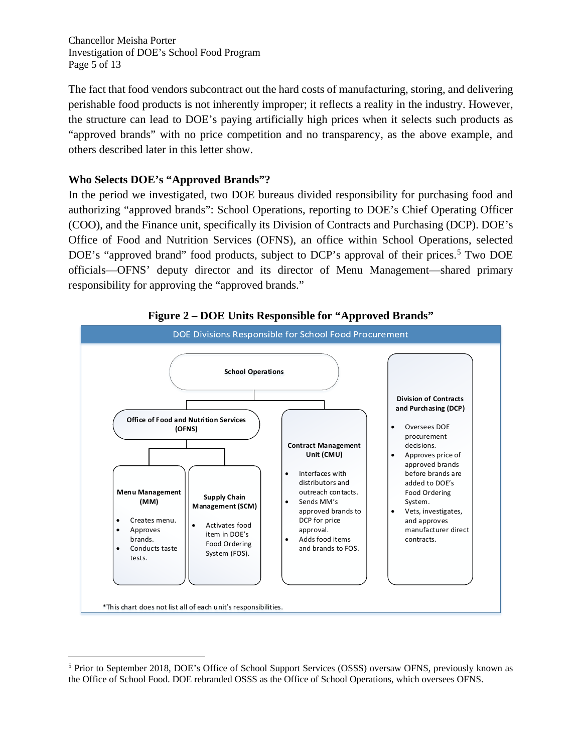Chancellor Meisha Porter Investigation of DOE's School Food Program Page 5 of 13

The fact that food vendors subcontract out the hard costs of manufacturing, storing, and delivering perishable food products is not inherently improper; it reflects a reality in the industry. However, the structure can lead to DOE's paying artificially high prices when it selects such products as "approved brands" with no price competition and no transparency, as the above example, and others described later in this letter show.

## **Who Selects DOE's "Approved Brands"?**

In the period we investigated, two DOE bureaus divided responsibility for purchasing food and authorizing "approved brands": School Operations, reporting to DOE's Chief Operating Officer (COO), and the Finance unit, specifically its Division of Contracts and Purchasing (DCP). DOE's Office of Food and Nutrition Services (OFNS), an office within School Operations, selected DOE's "approved brand" food products, subject to DCP's approval of their prices.<sup>[5](#page-4-0)</sup> Two DOE officials—OFNS' deputy director and its director of Menu Management—shared primary responsibility for approving the "approved brands."



**Figure 2 – DOE Units Responsible for "Approved Brands"**

<span id="page-4-0"></span>Ĩ. <sup>5</sup> Prior to September 2018, DOE's Office of School Support Services (OSSS) oversaw OFNS, previously known as the Office of School Food. DOE rebranded OSSS as the Office of School Operations, which oversees OFNS.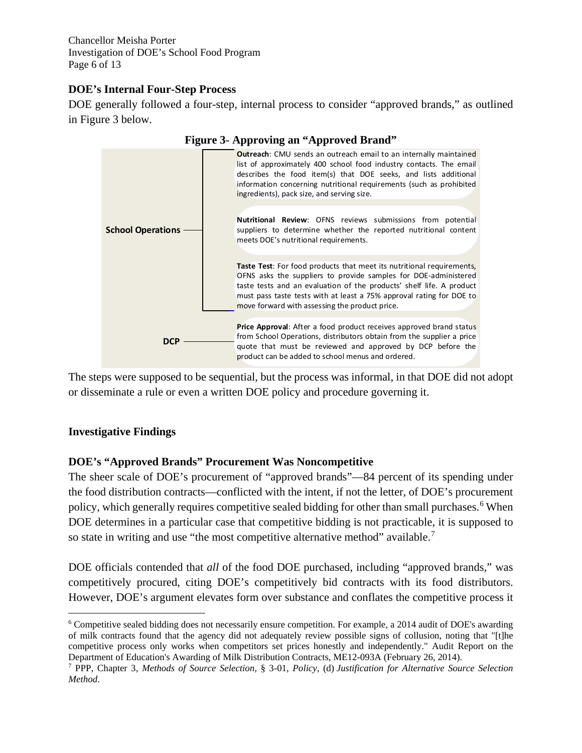Chancellor Meisha Porter Investigation of DOE's School Food Program Page 6 of 13

## **DOE's Internal Four-Step Process**

DOE generally followed a four-step, internal process to consider "approved brands," as outlined in Figure 3 below.



The steps were supposed to be sequential, but the process was informal, in that DOE did not adopt or disseminate a rule or even a written DOE policy and procedure governing it.

#### **Investigative Findings**

#### **DOE's "Approved Brands" Procurement Was Noncompetitive**

The sheer scale of DOE's procurement of "approved brands"—84 percent of its spending under the food distribution contracts—conflicted with the intent, if not the letter, of DOE's procurement policy, which generally requires competitive sealed bidding for other than small purchases. [6](#page-5-0) When DOE determines in a particular case that competitive bidding is not practicable, it is supposed to so state in writing and use "the most competitive alternative method" available.<sup>[7](#page-5-1)</sup>

DOE officials contended that *all* of the food DOE purchased, including "approved brands," was competitively procured, citing DOE's competitively bid contracts with its food distributors. However, DOE's argument elevates form over substance and conflates the competitive process it

<span id="page-5-0"></span>ī <sup>6</sup> Competitive sealed bidding does not necessarily ensure competition. For example, a 2014 audit of DOE's awarding of milk contracts found that the agency did not adequately review possible signs of collusion, noting that "[t]he competitive process only works when competitors set prices honestly and independently." Audit Report on the Department of Education's Awarding of Milk Distribution Contracts, ME12-093A (February 26, 2014).

<span id="page-5-1"></span><sup>7</sup> PPP, Chapter 3, *Methods of Source Selection*, § 3-01, *Policy*, (d) *Justification for Alternative Source Selection Method*.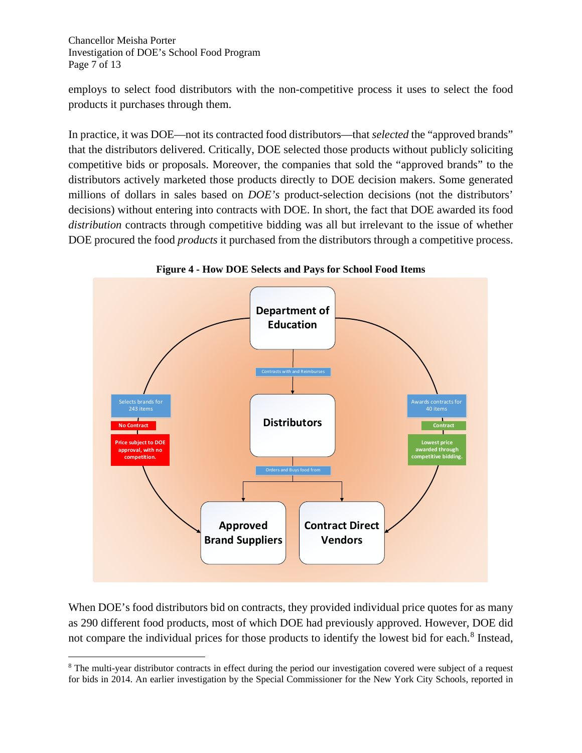Chancellor Meisha Porter Investigation of DOE's School Food Program Page 7 of 13

employs to select food distributors with the non-competitive process it uses to select the food products it purchases through them.

In practice, it was DOE—not its contracted food distributors—that *selected* the "approved brands" that the distributors delivered. Critically, DOE selected those products without publicly soliciting competitive bids or proposals. Moreover, the companies that sold the "approved brands" to the distributors actively marketed those products directly to DOE decision makers. Some generated millions of dollars in sales based on *DOE's* product-selection decisions (not the distributors' decisions) without entering into contracts with DOE. In short, the fact that DOE awarded its food *distribution* contracts through competitive bidding was all but irrelevant to the issue of whether DOE procured the food *products* it purchased from the distributors through a competitive process.



**Figure 4 - How DOE Selects and Pays for School Food Items**

When DOE's food distributors bid on contracts, they provided individual price quotes for as many as 290 different food products, most of which DOE had previously approved. However, DOE did not compare the individual prices for those products to identify the lowest bid for each. [8](#page-6-0) Instead,

<span id="page-6-0"></span>Ĩ.  $8$  The multi-year distributor contracts in effect during the period our investigation covered were subject of a request for bids in 2014. An earlier investigation by the Special Commissioner for the New York City Schools, reported in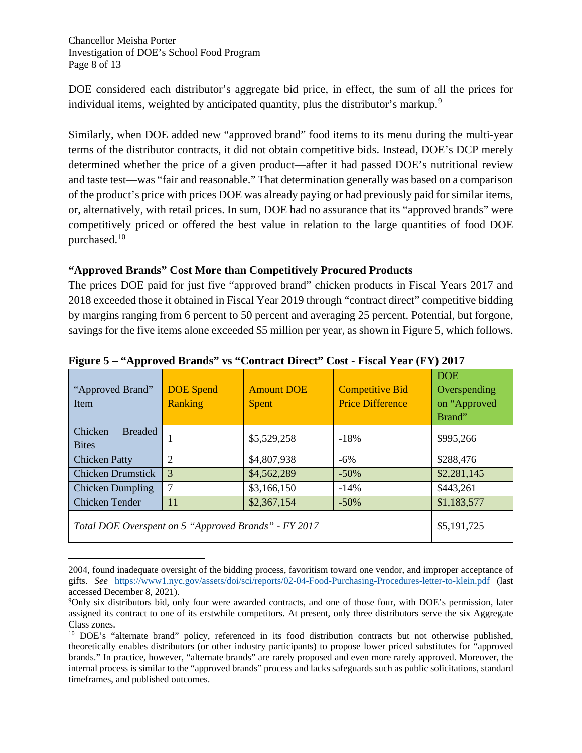Chancellor Meisha Porter Investigation of DOE's School Food Program Page 8 of 13

DOE considered each distributor's aggregate bid price, in effect, the sum of all the prices for individual items, weighted by anticipated quantity, plus the distributor's markup.<sup>[9](#page-7-0)</sup>

Similarly, when DOE added new "approved brand" food items to its menu during the multi-year terms of the distributor contracts, it did not obtain competitive bids. Instead, DOE's DCP merely determined whether the price of a given product—after it had passed DOE's nutritional review and taste test—was "fair and reasonable." That determination generally was based on a comparison of the product's price with prices DOE was already paying or had previously paid for similar items, or, alternatively, with retail prices. In sum, DOE had no assurance that its "approved brands" were competitively priced or offered the best value in relation to the large quantities of food DOE purchased. [10](#page-7-1)

## **"Approved Brands" Cost More than Competitively Procured Products**

The prices DOE paid for just five "approved brand" chicken products in Fiscal Years 2017 and 2018 exceeded those it obtained in Fiscal Year 2019 through "contract direct" competitive bidding by margins ranging from 6 percent to 50 percent and averaging 25 percent. Potential, but forgone, savings for the five items alone exceeded \$5 million per year, as shown in Figure 5, which follows.

| "Approved Brand"<br><b>Item</b>                      | <b>DOE</b> Spend<br><b>Ranking</b> | <b>Amount DOE</b><br><b>Spent</b> | <b>Competitive Bid</b><br><b>Price Difference</b> | <b>DOE</b><br>Overspending<br>on "Approved<br>Brand" |
|------------------------------------------------------|------------------------------------|-----------------------------------|---------------------------------------------------|------------------------------------------------------|
| Chicken<br><b>Breaded</b><br><b>Bites</b>            |                                    | \$5,529,258                       | $-18%$                                            | \$995,266                                            |
| <b>Chicken Patty</b>                                 | $\overline{2}$                     | \$4,807,938                       | $-6\%$                                            | \$288,476                                            |
| <b>Chicken Drumstick</b>                             | 3                                  | \$4,562,289                       | $-50%$                                            | \$2,281,145                                          |
| Chicken Dumpling                                     | 7                                  | \$3,166,150                       | $-14%$                                            | \$443,261                                            |
| Chicken Tender                                       | 11                                 | \$2,367,154                       | $-50%$                                            | \$1,183,577                                          |
| Total DOE Overspent on 5 "Approved Brands" - FY 2017 | \$5,191,725                        |                                   |                                                   |                                                      |

**Figure 5 – "Approved Brands" vs "Contract Direct" Cost - Fiscal Year (FY) 2017**

Ĩ. 2004, found inadequate oversight of the bidding process, favoritism toward one vendor, and improper acceptance of gifts. *See* [https://www1.nyc.gov/assets/doi/sci/reports/02-04-Food-Purchasing-Procedures-letter-to-klein.pdf](about:blank) (last accessed December 8, 2021).

<span id="page-7-0"></span><sup>9</sup> Only six distributors bid, only four were awarded contracts, and one of those four, with DOE's permission, later assigned its contract to one of its erstwhile competitors. At present, only three distributors serve the six Aggregate Class zones.

<span id="page-7-1"></span><sup>10</sup> DOE's "alternate brand" policy, referenced in its food distribution contracts but not otherwise published, theoretically enables distributors (or other industry participants) to propose lower priced substitutes for "approved brands." In practice, however, "alternate brands" are rarely proposed and even more rarely approved. Moreover, the internal process is similar to the "approved brands" process and lacks safeguards such as public solicitations, standard timeframes, and published outcomes.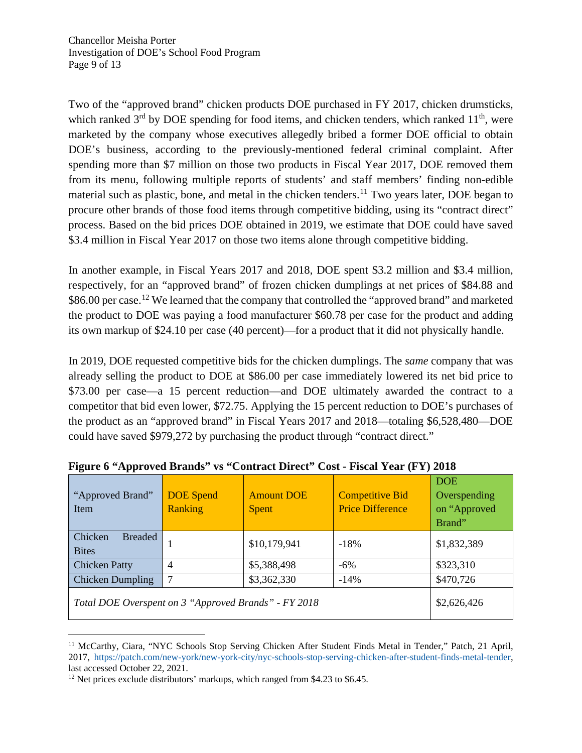Two of the "approved brand" chicken products DOE purchased in FY 2017, chicken drumsticks, which ranked  $3<sup>rd</sup>$  by DOE spending for food items, and chicken tenders, which ranked  $11<sup>th</sup>$ , were marketed by the company whose executives allegedly bribed a former DOE official to obtain DOE's business, according to the previously-mentioned federal criminal complaint. After spending more than \$7 million on those two products in Fiscal Year 2017, DOE removed them from its menu, following multiple reports of students' and staff members' finding non-edible material such as plastic, bone, and metal in the chicken tenders.<sup>[11](#page-8-0)</sup> Two years later, DOE began to procure other brands of those food items through competitive bidding, using its "contract direct" process. Based on the bid prices DOE obtained in 2019, we estimate that DOE could have saved \$3.4 million in Fiscal Year 2017 on those two items alone through competitive bidding.

In another example, in Fiscal Years 2017 and 2018, DOE spent \$3.2 million and \$3.4 million, respectively, for an "approved brand" of frozen chicken dumplings at net prices of \$84.88 and \$86.00 per case.<sup>[12](#page-8-1)</sup> We learned that the company that controlled the "approved brand" and marketed the product to DOE was paying a food manufacturer \$60.78 per case for the product and adding its own markup of \$24.10 per case (40 percent)—for a product that it did not physically handle.

In 2019, DOE requested competitive bids for the chicken dumplings. The *same* company that was already selling the product to DOE at \$86.00 per case immediately lowered its net bid price to \$73.00 per case—a 15 percent reduction—and DOE ultimately awarded the contract to a competitor that bid even lower, \$72.75. Applying the 15 percent reduction to DOE's purchases of the product as an "approved brand" in Fiscal Years 2017 and 2018—totaling \$6,528,480—DOE could have saved \$979,272 by purchasing the product through "contract direct."

| "Approved Brand"<br>Item                             | <b>DOE</b> Spend<br><b>Ranking</b> | <b>Amount DOE</b><br><b>Spent</b> | <b>Competitive Bid</b><br><b>Price Difference</b> | <b>DOE</b><br>Overspending<br>on "Approved<br>Brand" |
|------------------------------------------------------|------------------------------------|-----------------------------------|---------------------------------------------------|------------------------------------------------------|
| Chicken<br><b>Breaded</b><br><b>Bites</b>            |                                    | \$10,179,941                      | $-18%$                                            | \$1,832,389                                          |
| <b>Chicken Patty</b>                                 | 4                                  | \$5,388,498                       | $-6\%$                                            | \$323,310                                            |
| <b>Chicken Dumpling</b>                              |                                    | \$3,362,330                       | $-14%$                                            | \$470,726                                            |
| Total DOE Overspent on 3 "Approved Brands" - FY 2018 | \$2,626,426                        |                                   |                                                   |                                                      |

**Figure 6 "Approved Brands" vs "Contract Direct" Cost - Fiscal Year (FY) 2018**

<span id="page-8-0"></span>Ĩ. <sup>11</sup> McCarthy, Ciara, "NYC Schools Stop Serving Chicken After Student Finds Metal in Tender," Patch, 21 April, 2017, [https://patch.com/new-york/new-york-city/nyc-schools-stop-serving-chicken-after-student-finds-metal-tender,](https://patch.com/new-york/new-york-city/nyc-schools-stop-serving-chicken-after-student-finds-metal-tender)  last accessed October 22, 2021.

<span id="page-8-1"></span><sup>&</sup>lt;sup>12</sup> Net prices exclude distributors' markups, which ranged from \$4.23 to \$6.45.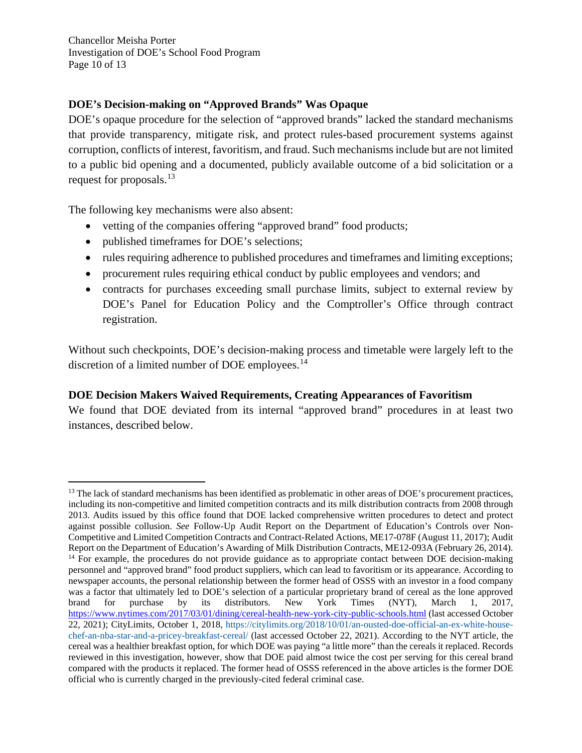Chancellor Meisha Porter Investigation of DOE's School Food Program Page 10 of 13

## **DOE's Decision-making on "Approved Brands" Was Opaque**

DOE's opaque procedure for the selection of "approved brands" lacked the standard mechanisms that provide transparency, mitigate risk, and protect rules-based procurement systems against corruption, conflicts of interest, favoritism, and fraud. Such mechanisms include but are not limited to a public bid opening and a documented, publicly available outcome of a bid solicitation or a request for proposals.[13](#page-9-0)

The following key mechanisms were also absent:

- vetting of the companies offering "approved brand" food products;
- published timeframes for DOE's selections;
- rules requiring adherence to published procedures and timeframes and limiting exceptions;
- procurement rules requiring ethical conduct by public employees and vendors; and
- contracts for purchases exceeding small purchase limits, subject to external review by DOE's Panel for Education Policy and the Comptroller's Office through contract registration.

Without such checkpoints, DOE's decision-making process and timetable were largely left to the discretion of a limited number of DOE employees.<sup>[14](#page-9-1)</sup>

# **DOE Decision Makers Waived Requirements, Creating Appearances of Favoritism**

We found that DOE deviated from its internal "approved brand" procedures in at least two instances, described below.

<span id="page-9-1"></span><span id="page-9-0"></span>ī <sup>13</sup> The lack of standard mechanisms has been identified as problematic in other areas of DOE's procurement practices, including its non-competitive and limited competition contracts and its milk distribution contracts from 2008 through 2013. Audits issued by this office found that DOE lacked comprehensive written procedures to detect and protect against possible collusion. *See* Follow-Up Audit Report on the Department of Education's Controls over Non-Competitive and Limited Competition Contracts and Contract-Related Actions, ME17-078F (August 11, 2017); Audit Report on the Department of Education's Awarding of Milk Distribution Contracts, ME12-093A (February 26, 2014). <sup>14</sup> For example, the procedures do not provide guidance as to appropriate contact between DOE decision-making personnel and "approved brand" food product suppliers, which can lead to favoritism or its appearance. According to newspaper accounts, the personal relationship between the former head of OSSS with an investor in a food company was a factor that ultimately led to DOE's selection of a particular proprietary brand of cereal as the lone approved brand for purchase by its distributors. New York Times (NYT), March 1, 2017, <https://www.nytimes.com/2017/03/01/dining/cereal-health-new-york-city-public-schools.html> (last accessed October 22, 2021); CityLimits, October 1, 2018, [https://citylimits.org/2018/10/01/an-ousted-doe-official-an-ex-white-house](https://citylimits.org/2018/10/01/an-ousted-doe-official-an-ex-white-house-chef-an-nba-star-and-a-pricey-breakfast-cereal/)[chef-an-nba-star-and-a-pricey-breakfast-cereal/](https://citylimits.org/2018/10/01/an-ousted-doe-official-an-ex-white-house-chef-an-nba-star-and-a-pricey-breakfast-cereal/) (last accessed October 22, 2021). According to the NYT article, the cereal was a healthier breakfast option, for which DOE was paying "a little more" than the cereals it replaced. Records reviewed in this investigation, however, show that DOE paid almost twice the cost per serving for this cereal brand compared with the products it replaced. The former head of OSSS referenced in the above articles is the former DOE official who is currently charged in the previously-cited federal criminal case.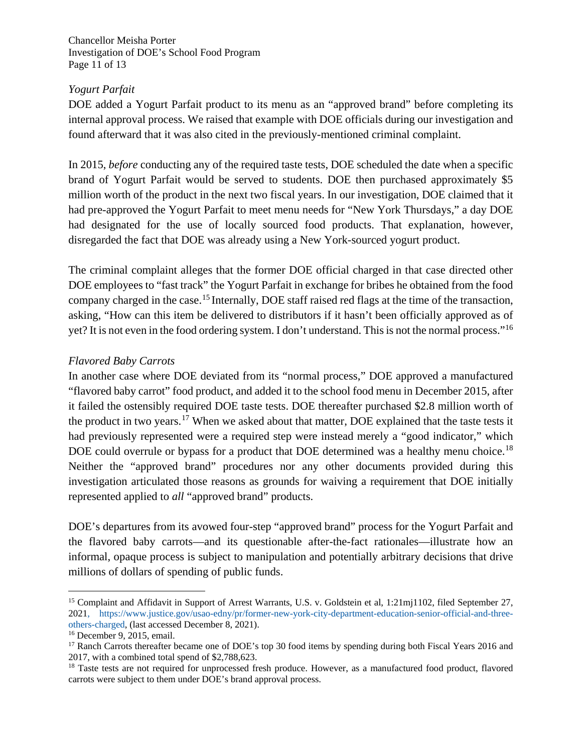Chancellor Meisha Porter Investigation of DOE's School Food Program Page 11 of 13

#### *Yogurt Parfait*

DOE added a Yogurt Parfait product to its menu as an "approved brand" before completing its internal approval process. We raised that example with DOE officials during our investigation and found afterward that it was also cited in the previously-mentioned criminal complaint.

In 2015, *before* conducting any of the required taste tests, DOE scheduled the date when a specific brand of Yogurt Parfait would be served to students. DOE then purchased approximately \$5 million worth of the product in the next two fiscal years. In our investigation, DOE claimed that it had pre-approved the Yogurt Parfait to meet menu needs for "New York Thursdays," a day DOE had designated for the use of locally sourced food products. That explanation, however, disregarded the fact that DOE was already using a New York-sourced yogurt product.

The criminal complaint alleges that the former DOE official charged in that case directed other DOE employees to "fast track" the Yogurt Parfait in exchange for bribes he obtained from the food company charged in the case. [15](#page-10-0) Internally, DOE staff raised red flags at the time of the transaction, asking, "How can this item be delivered to distributors if it hasn't been officially approved as of yet? It is not even in the food ordering system. I don't understand. This is not the normal process."[16](#page-10-1)

## *Flavored Baby Carrots*

In another case where DOE deviated from its "normal process," DOE approved a manufactured "flavored baby carrot" food product, and added it to the school food menu in December 2015, after it failed the ostensibly required DOE taste tests. DOE thereafter purchased \$2.8 million worth of the product in two years.<sup>[17](#page-10-2)</sup> When we asked about that matter, DOE explained that the taste tests it had previously represented were a required step were instead merely a "good indicator," which DOE could overrule or bypass for a product that DOE determined was a healthy menu choice.<sup>[18](#page-10-3)</sup> Neither the "approved brand" procedures nor any other documents provided during this investigation articulated those reasons as grounds for waiving a requirement that DOE initially represented applied to *all* "approved brand" products.

DOE's departures from its avowed four-step "approved brand" process for the Yogurt Parfait and the flavored baby carrots—and its questionable after-the-fact rationales—illustrate how an informal, opaque process is subject to manipulation and potentially arbitrary decisions that drive millions of dollars of spending of public funds.

<span id="page-10-0"></span>Ĩ. <sup>15</sup> Complaint and Affidavit in Support of Arrest Warrants, U.S. v. Goldstein et al, 1:21mj1102, filed September 27, 2021, [https://www.justice.gov/usao-edny/pr/former-new-york-city-department-education-senior-official-and-three](https://www.justice.gov/usao-edny/pr/former-new-york-city-department-education-senior-official-and-three-others-charged)[others-charged,](https://www.justice.gov/usao-edny/pr/former-new-york-city-department-education-senior-official-and-three-others-charged) (last accessed December 8, 2021).

<span id="page-10-1"></span><sup>16</sup> December 9, 2015, email.

<span id="page-10-2"></span><sup>&</sup>lt;sup>17</sup> Ranch Carrots thereafter became one of DOE's top 30 food items by spending during both Fiscal Years 2016 and 2017, with a combined total spend of \$2,788,623.

<span id="page-10-3"></span><sup>&</sup>lt;sup>18</sup> Taste tests are not required for unprocessed fresh produce. However, as a manufactured food product, flavored carrots were subject to them under DOE's brand approval process.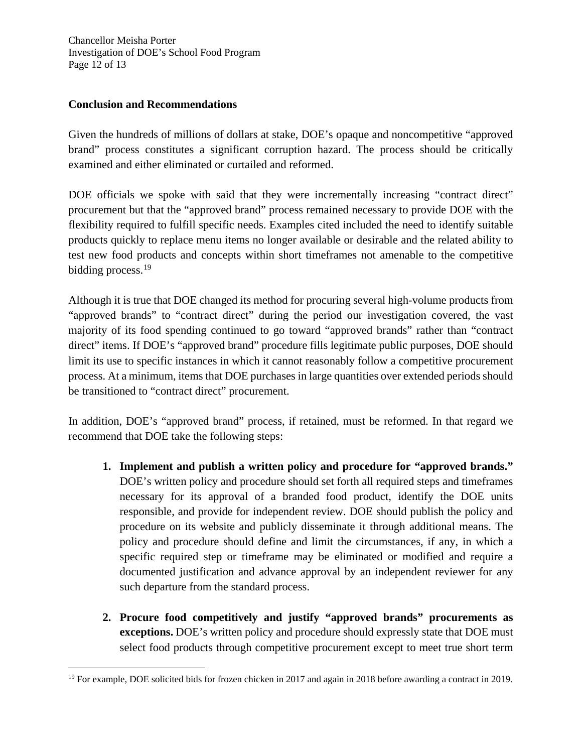Chancellor Meisha Porter Investigation of DOE's School Food Program Page 12 of 13

#### **Conclusion and Recommendations**

Given the hundreds of millions of dollars at stake, DOE's opaque and noncompetitive "approved brand" process constitutes a significant corruption hazard. The process should be critically examined and either eliminated or curtailed and reformed.

DOE officials we spoke with said that they were incrementally increasing "contract direct" procurement but that the "approved brand" process remained necessary to provide DOE with the flexibility required to fulfill specific needs. Examples cited included the need to identify suitable products quickly to replace menu items no longer available or desirable and the related ability to test new food products and concepts within short timeframes not amenable to the competitive bidding process.<sup>[19](#page-11-0)</sup>

Although it is true that DOE changed its method for procuring several high-volume products from "approved brands" to "contract direct" during the period our investigation covered, the vast majority of its food spending continued to go toward "approved brands" rather than "contract direct" items. If DOE's "approved brand" procedure fills legitimate public purposes, DOE should limit its use to specific instances in which it cannot reasonably follow a competitive procurement process. At a minimum, items that DOE purchases in large quantities over extended periods should be transitioned to "contract direct" procurement.

In addition, DOE's "approved brand" process, if retained, must be reformed. In that regard we recommend that DOE take the following steps:

- **1. Implement and publish a written policy and procedure for "approved brands."** DOE's written policy and procedure should set forth all required steps and timeframes necessary for its approval of a branded food product, identify the DOE units responsible, and provide for independent review. DOE should publish the policy and procedure on its website and publicly disseminate it through additional means. The policy and procedure should define and limit the circumstances, if any, in which a specific required step or timeframe may be eliminated or modified and require a documented justification and advance approval by an independent reviewer for any such departure from the standard process.
- **2. Procure food competitively and justify "approved brands" procurements as exceptions.** DOE's written policy and procedure should expressly state that DOE must select food products through competitive procurement except to meet true short term

<span id="page-11-0"></span>Ĩ. <sup>19</sup> For example, DOE solicited bids for frozen chicken in 2017 and again in 2018 before awarding a contract in 2019.